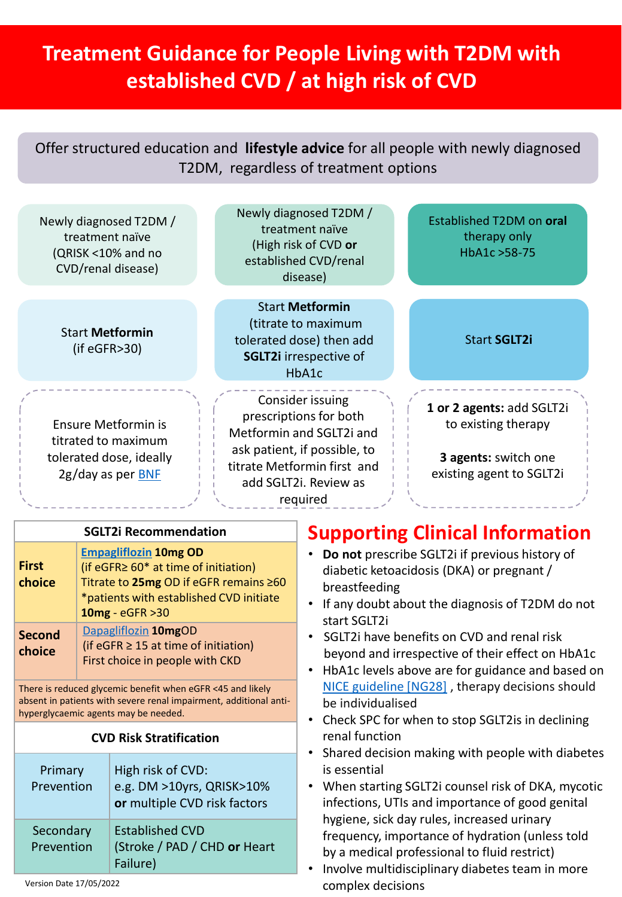# **Treatment Guidance for People Living with T2DM with established CVD / at high risk of CVD**

Offer structured education and **lifestyle advice** for all people with newly diagnosed T2DM, regardless of treatment options

| Newly diagnosed T2DM /<br>treatment naïve<br>(QRISK <10% and no<br>CVD/renal disease)                                                                                   |  |                                                                                                                                                                               | Newly diagnosed T2DM /<br>treatment naïve<br>(High risk of CVD or<br>established CVD/renal<br>disease)              | Established T2DM on oral<br>therapy only<br>HbA1c > 58-75                                                                                                                                                                                                                                                                                                                                                                     |                                                                                                      |
|-------------------------------------------------------------------------------------------------------------------------------------------------------------------------|--|-------------------------------------------------------------------------------------------------------------------------------------------------------------------------------|---------------------------------------------------------------------------------------------------------------------|-------------------------------------------------------------------------------------------------------------------------------------------------------------------------------------------------------------------------------------------------------------------------------------------------------------------------------------------------------------------------------------------------------------------------------|------------------------------------------------------------------------------------------------------|
| <b>Start Metformin</b><br>(if eGFR > 30)                                                                                                                                |  |                                                                                                                                                                               | <b>Start Metformin</b><br>(titrate to maximum<br>tolerated dose) then add<br><b>SGLT2i</b> irrespective of<br>HbA1c | <b>Start SGLT2i</b>                                                                                                                                                                                                                                                                                                                                                                                                           |                                                                                                      |
| <b>Ensure Metformin is</b><br>titrated to maximum<br>tolerated dose, ideally<br>2g/day as per <b>BNF</b>                                                                |  |                                                                                                                                                                               |                                                                                                                     | Consider issuing<br>prescriptions for both<br>Metformin and SGLT2i and<br>ask patient, if possible, to<br>titrate Metformin first and<br>add SGLT2i. Review as<br>required                                                                                                                                                                                                                                                    | 1 or 2 agents: add SGLT2i<br>to existing therapy<br>3 agents: switch one<br>existing agent to SGLT2i |
| <b>SGLT2i Recommendation</b>                                                                                                                                            |  |                                                                                                                                                                               |                                                                                                                     | <b>Supporting Clinical Information</b>                                                                                                                                                                                                                                                                                                                                                                                        |                                                                                                      |
| <b>First</b><br>choice                                                                                                                                                  |  | <b>Empagliflozin 10mg OD</b><br>(if eGFR≥ 60* at time of initiation)<br>Titrate to 25mg OD if eGFR remains ≥60<br>*patients with established CVD initiate<br>10mg - eGFR > 30 |                                                                                                                     | Do not prescribe SGLT2i if previous history of<br>diabetic ketoacidosis (DKA) or pregnant /<br>breastfeeding<br>If any doubt about the diagnosis of T2DM do not<br>start SGLT2i<br>SGLT2i have benefits on CVD and renal risk<br>beyond and irrespective of their effect on HbA1c<br>HbA1c levels above are for guidance and based on                                                                                         |                                                                                                      |
| <b>Second</b><br>choice                                                                                                                                                 |  | Dapagliflozin 10mgOD<br>(if eGFR $\geq$ 15 at time of initiation)<br>First choice in people with CKD                                                                          |                                                                                                                     |                                                                                                                                                                                                                                                                                                                                                                                                                               |                                                                                                      |
| There is reduced glycemic benefit when eGFR <45 and likely<br>absent in patients with severe renal impairment, additional anti-<br>hyperglycaemic agents may be needed. |  |                                                                                                                                                                               |                                                                                                                     | NICE guideline [NG28], therapy decisions should<br>be individualised<br>Check SPC for when to stop SGLT2is in declining                                                                                                                                                                                                                                                                                                       |                                                                                                      |
| <b>CVD Risk Stratification</b>                                                                                                                                          |  |                                                                                                                                                                               |                                                                                                                     | renal function<br>Shared decision making with people with diabetes<br>$\bullet$<br>is essential<br>When starting SGLT2i counsel risk of DKA, mycotic<br>٠<br>infections, UTIs and importance of good genital<br>hygiene, sick day rules, increased urinary<br>frequency, importance of hydration (unless told<br>by a medical professional to fluid restrict)<br>Involve multidisciplinary diabetes team in more<br>$\bullet$ |                                                                                                      |
| Primary<br>Prevention                                                                                                                                                   |  | High risk of CVD:<br>e.g. DM >10yrs, QRISK>10%<br>or multiple CVD risk factors                                                                                                |                                                                                                                     |                                                                                                                                                                                                                                                                                                                                                                                                                               |                                                                                                      |
| Secondary<br>Prevention                                                                                                                                                 |  | <b>Established CVD</b><br>(Stroke / PAD / CHD or Heart<br>Failure)                                                                                                            |                                                                                                                     |                                                                                                                                                                                                                                                                                                                                                                                                                               |                                                                                                      |

complex decisions Version Date 17/05/2022